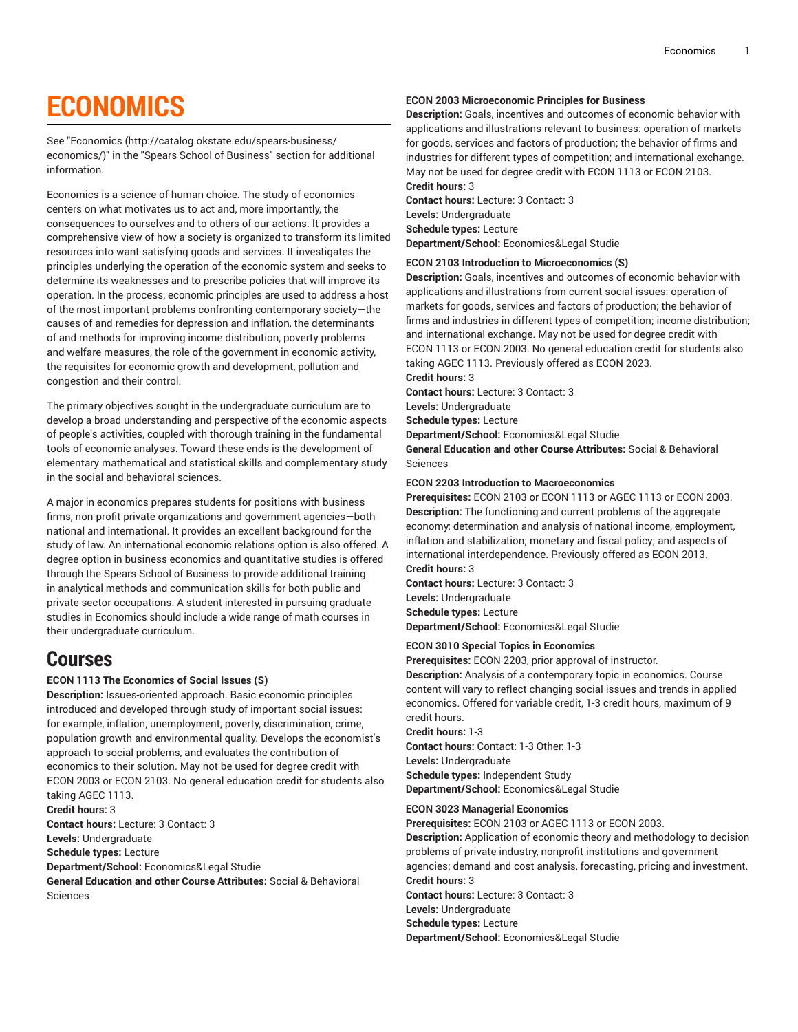# **ECONOMICS**

See ["Economics](http://catalog.okstate.edu/spears-business/economics/) ([http://catalog.okstate.edu/spears-business/](http://catalog.okstate.edu/spears-business/economics/) [economics/\)](http://catalog.okstate.edu/spears-business/economics/)" in the "Spears School of Business" section for additional information.

Economics is a science of human choice. The study of economics centers on what motivates us to act and, more importantly, the consequences to ourselves and to others of our actions. It provides a comprehensive view of how a society is organized to transform its limited resources into want-satisfying goods and services. It investigates the principles underlying the operation of the economic system and seeks to determine its weaknesses and to prescribe policies that will improve its operation. In the process, economic principles are used to address a host of the most important problems confronting contemporary society—the causes of and remedies for depression and inflation, the determinants of and methods for improving income distribution, poverty problems and welfare measures, the role of the government in economic activity, the requisites for economic growth and development, pollution and congestion and their control.

The primary objectives sought in the undergraduate curriculum are to develop a broad understanding and perspective of the economic aspects of people's activities, coupled with thorough training in the fundamental tools of economic analyses. Toward these ends is the development of elementary mathematical and statistical skills and complementary study in the social and behavioral sciences.

A major in economics prepares students for positions with business firms, non-profit private organizations and government agencies—both national and international. It provides an excellent background for the study of law. An international economic relations option is also offered. A degree option in business economics and quantitative studies is offered through the Spears School of Business to provide additional training in analytical methods and communication skills for both public and private sector occupations. A student interested in pursuing graduate studies in Economics should include a wide range of math courses in their undergraduate curriculum.

## **Courses**

## **ECON 1113 The Economics of Social Issues (S)**

**Description:** Issues-oriented approach. Basic economic principles introduced and developed through study of important social issues: for example, inflation, unemployment, poverty, discrimination, crime, population growth and environmental quality. Develops the economist's approach to social problems, and evaluates the contribution of economics to their solution. May not be used for degree credit with ECON 2003 or ECON 2103. No general education credit for students also taking AGEC 1113.

**Credit hours:** 3

**Contact hours:** Lecture: 3 Contact: 3

**Levels:** Undergraduate **Schedule types:** Lecture

**Department/School:** Economics&Legal Studie

**General Education and other Course Attributes:** Social & Behavioral Sciences

## **ECON 2003 Microeconomic Principles for Business**

**Description:** Goals, incentives and outcomes of economic behavior with applications and illustrations relevant to business: operation of markets for goods, services and factors of production; the behavior of firms and industries for different types of competition; and international exchange. May not be used for degree credit with ECON 1113 or ECON 2103. **Credit hours:** 3

**Contact hours:** Lecture: 3 Contact: 3 **Levels:** Undergraduate **Schedule types:** Lecture **Department/School:** Economics&Legal Studie

## **ECON 2103 Introduction to Microeconomics (S)**

**Description:** Goals, incentives and outcomes of economic behavior with applications and illustrations from current social issues: operation of markets for goods, services and factors of production; the behavior of firms and industries in different types of competition; income distribution; and international exchange. May not be used for degree credit with ECON 1113 or ECON 2003. No general education credit for students also taking AGEC 1113. Previously offered as ECON 2023.

**Credit hours:** 3

**Contact hours:** Lecture: 3 Contact: 3

**Levels:** Undergraduate

**Schedule types:** Lecture

**Department/School:** Economics&Legal Studie

**General Education and other Course Attributes:** Social & Behavioral Sciences

## **ECON 2203 Introduction to Macroeconomics**

**Prerequisites:** ECON 2103 or ECON 1113 or AGEC 1113 or ECON 2003. **Description:** The functioning and current problems of the aggregate economy: determination and analysis of national income, employment, inflation and stabilization; monetary and fiscal policy; and aspects of international interdependence. Previously offered as ECON 2013. **Credit hours:** 3

**Contact hours:** Lecture: 3 Contact: 3 **Levels:** Undergraduate **Schedule types:** Lecture **Department/School:** Economics&Legal Studie

## **ECON 3010 Special Topics in Economics**

**Prerequisites:** ECON 2203, prior approval of instructor. **Description:** Analysis of a contemporary topic in economics. Course content will vary to reflect changing social issues and trends in applied economics. Offered for variable credit, 1-3 credit hours, maximum of 9 credit hours.

**Credit hours:** 1-3 **Contact hours:** Contact: 1-3 Other: 1-3 **Levels:** Undergraduate **Schedule types:** Independent Study **Department/School:** Economics&Legal Studie

## **ECON 3023 Managerial Economics**

**Prerequisites:** ECON 2103 or AGEC 1113 or ECON 2003. **Description:** Application of economic theory and methodology to decision problems of private industry, nonprofit institutions and government agencies; demand and cost analysis, forecasting, pricing and investment. **Credit hours:** 3

**Contact hours:** Lecture: 3 Contact: 3

**Levels:** Undergraduate

**Schedule types:** Lecture

**Department/School:** Economics&Legal Studie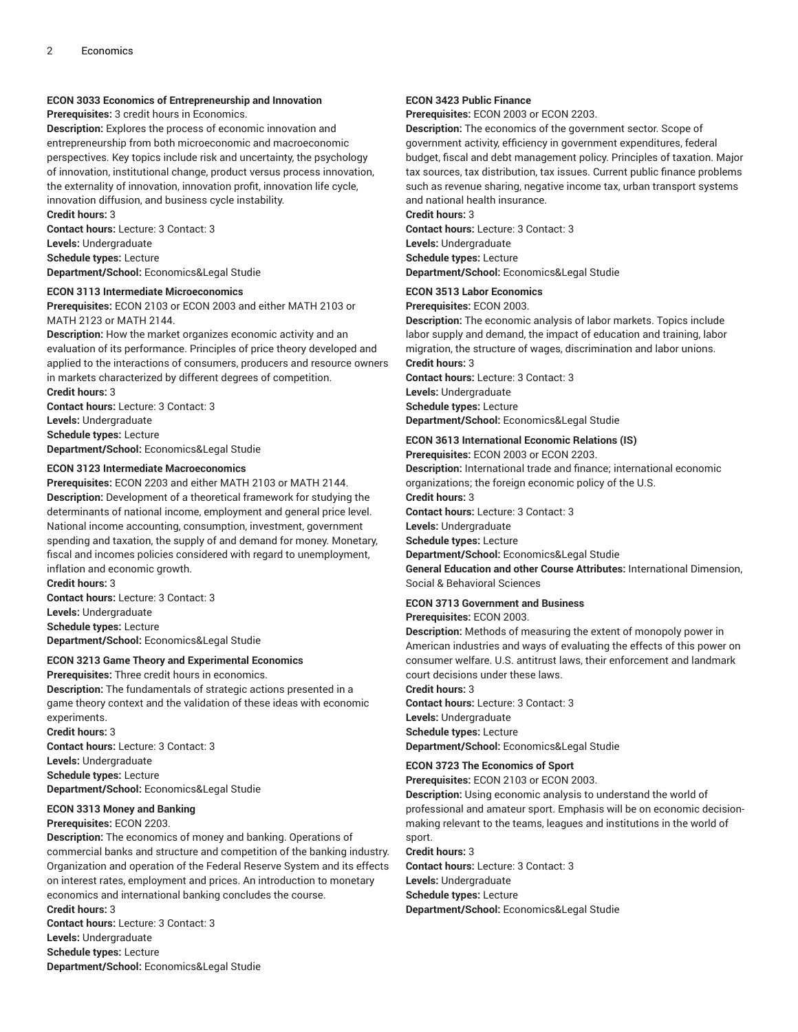## **ECON 3033 Economics of Entrepreneurship and Innovation**

**Prerequisites:** 3 credit hours in Economics.

**Description:** Explores the process of economic innovation and entrepreneurship from both microeconomic and macroeconomic perspectives. Key topics include risk and uncertainty, the psychology of innovation, institutional change, product versus process innovation, the externality of innovation, innovation profit, innovation life cycle, innovation diffusion, and business cycle instability.

**Credit hours:** 3

**Contact hours:** Lecture: 3 Contact: 3

**Levels:** Undergraduate

**Schedule types:** Lecture

**Department/School:** Economics&Legal Studie

## **ECON 3113 Intermediate Microeconomics**

**Prerequisites:** ECON 2103 or ECON 2003 and either MATH 2103 or MATH 2123 or MATH 2144.

**Description:** How the market organizes economic activity and an evaluation of its performance. Principles of price theory developed and applied to the interactions of consumers, producers and resource owners in markets characterized by different degrees of competition. **Credit hours:** 3

**Contact hours:** Lecture: 3 Contact: 3 **Levels:** Undergraduate **Schedule types:** Lecture **Department/School:** Economics&Legal Studie

## **ECON 3123 Intermediate Macroeconomics**

**Prerequisites:** ECON 2203 and either MATH 2103 or MATH 2144. **Description:** Development of a theoretical framework for studying the determinants of national income, employment and general price level. National income accounting, consumption, investment, government spending and taxation, the supply of and demand for money. Monetary, fiscal and incomes policies considered with regard to unemployment, inflation and economic growth.

**Credit hours:** 3 **Contact hours:** Lecture: 3 Contact: 3 **Levels:** Undergraduate **Schedule types:** Lecture **Department/School:** Economics&Legal Studie

## **ECON 3213 Game Theory and Experimental Economics**

**Prerequisites:** Three credit hours in economics.

**Description:** The fundamentals of strategic actions presented in a game theory context and the validation of these ideas with economic experiments.

**Credit hours:** 3 **Contact hours:** Lecture: 3 Contact: 3 **Levels:** Undergraduate **Schedule types:** Lecture **Department/School:** Economics&Legal Studie

## **ECON 3313 Money and Banking**

**Prerequisites:** ECON 2203.

**Description:** The economics of money and banking. Operations of commercial banks and structure and competition of the banking industry. Organization and operation of the Federal Reserve System and its effects on interest rates, employment and prices. An introduction to monetary economics and international banking concludes the course. **Credit hours:** 3 **Contact hours:** Lecture: 3 Contact: 3 **Levels:** Undergraduate

**Schedule types:** Lecture

**Department/School:** Economics&Legal Studie

## **ECON 3423 Public Finance**

**Prerequisites:** ECON 2003 or ECON 2203.

**Description:** The economics of the government sector. Scope of government activity, efficiency in government expenditures, federal budget, fiscal and debt management policy. Principles of taxation. Major tax sources, tax distribution, tax issues. Current public finance problems such as revenue sharing, negative income tax, urban transport systems and national health insurance.

**Credit hours:** 3 **Contact hours:** Lecture: 3 Contact: 3 **Levels:** Undergraduate

**Schedule types:** Lecture

**Department/School:** Economics&Legal Studie

## **ECON 3513 Labor Economics**

**Prerequisites:** ECON 2003.

**Description:** The economic analysis of labor markets. Topics include labor supply and demand, the impact of education and training, labor migration, the structure of wages, discrimination and labor unions. **Credit hours:** 3 **Contact hours:** Lecture: 3 Contact: 3

**Levels:** Undergraduate **Schedule types:** Lecture **Department/School:** Economics&Legal Studie

## **ECON 3613 International Economic Relations (IS)**

**Prerequisites:** ECON 2003 or ECON 2203. **Description:** International trade and finance; international economic organizations; the foreign economic policy of the U.S.

**Credit hours:** 3

**Contact hours:** Lecture: 3 Contact: 3

**Levels:** Undergraduate

**Schedule types:** Lecture

**Department/School:** Economics&Legal Studie

**General Education and other Course Attributes:** International Dimension, Social & Behavioral Sciences

## **ECON 3713 Government and Business**

## **Prerequisites:** ECON 2003.

**Description:** Methods of measuring the extent of monopoly power in American industries and ways of evaluating the effects of this power on consumer welfare. U.S. antitrust laws, their enforcement and landmark court decisions under these laws.

**Credit hours:** 3

**Contact hours:** Lecture: 3 Contact: 3 **Levels:** Undergraduate **Schedule types:** Lecture **Department/School:** Economics&Legal Studie

**ECON 3723 The Economics of Sport**

**Prerequisites:** ECON 2103 or ECON 2003.

**Description:** Using economic analysis to understand the world of professional and amateur sport. Emphasis will be on economic decisionmaking relevant to the teams, leagues and institutions in the world of sport.

#### **Credit hours:** 3

**Contact hours:** Lecture: 3 Contact: 3 **Levels:** Undergraduate **Schedule types:** Lecture **Department/School:** Economics&Legal Studie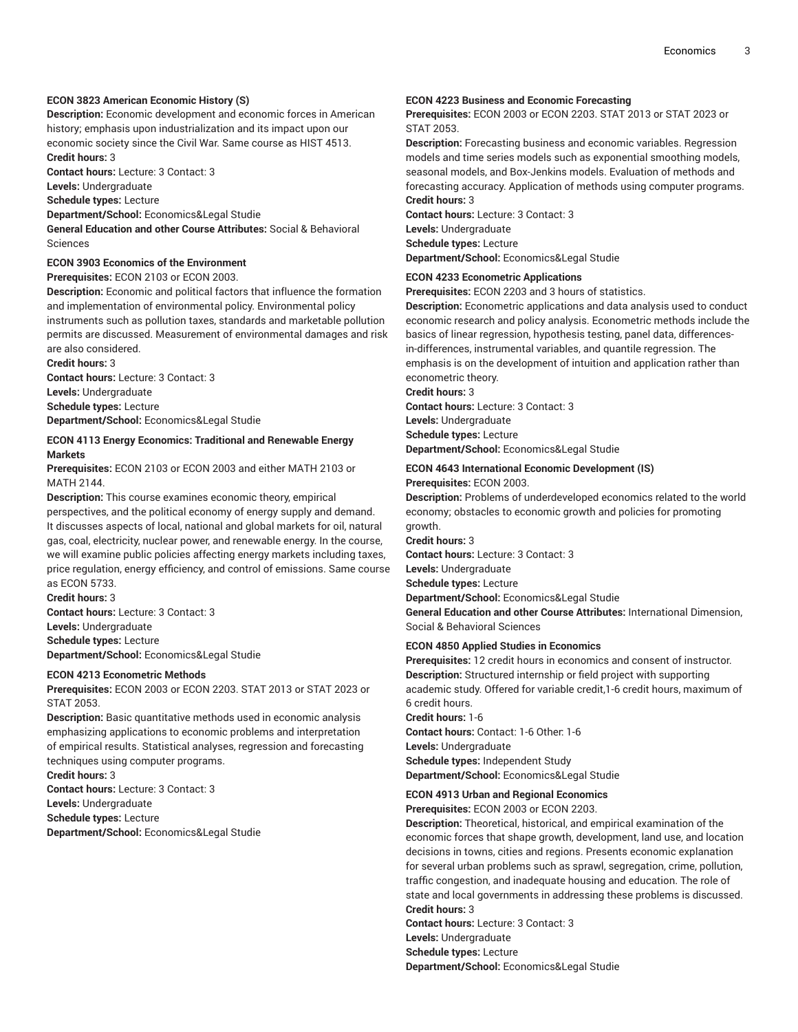## **ECON 3823 American Economic History (S)**

**Description:** Economic development and economic forces in American history; emphasis upon industrialization and its impact upon our economic society since the Civil War. Same course as HIST 4513. **Credit hours:** 3

**Contact hours:** Lecture: 3 Contact: 3

**Levels:** Undergraduate

**Schedule types:** Lecture **Department/School:** Economics&Legal Studie

**General Education and other Course Attributes:** Social & Behavioral Sciences

## **ECON 3903 Economics of the Environment**

**Prerequisites:** ECON 2103 or ECON 2003.

**Description:** Economic and political factors that influence the formation and implementation of environmental policy. Environmental policy instruments such as pollution taxes, standards and marketable pollution permits are discussed. Measurement of environmental damages and risk are also considered.

**Credit hours:** 3 **Contact hours:** Lecture: 3 Contact: 3

**Levels:** Undergraduate **Schedule types:** Lecture

**Department/School:** Economics&Legal Studie

## **ECON 4113 Energy Economics: Traditional and Renewable Energy Markets**

**Prerequisites:** ECON 2103 or ECON 2003 and either MATH 2103 or MATH 2144.

**Description:** This course examines economic theory, empirical perspectives, and the political economy of energy supply and demand. It discusses aspects of local, national and global markets for oil, natural gas, coal, electricity, nuclear power, and renewable energy. In the course, we will examine public policies affecting energy markets including taxes, price regulation, energy efficiency, and control of emissions. Same course as ECON 5733.

**Credit hours:** 3

**Contact hours:** Lecture: 3 Contact: 3

**Levels:** Undergraduate

**Schedule types:** Lecture **Department/School:** Economics&Legal Studie

## **ECON 4213 Econometric Methods**

**Prerequisites:** ECON 2003 or ECON 2203. STAT 2013 or STAT 2023 or STAT 2053.

**Description:** Basic quantitative methods used in economic analysis emphasizing applications to economic problems and interpretation of empirical results. Statistical analyses, regression and forecasting techniques using computer programs.

**Credit hours:** 3

**Contact hours:** Lecture: 3 Contact: 3

**Levels:** Undergraduate

**Schedule types:** Lecture

**Department/School:** Economics&Legal Studie

#### **ECON 4223 Business and Economic Forecasting**

**Prerequisites:** ECON 2003 or ECON 2203. STAT 2013 or STAT 2023 or STAT 2053.

**Description:** Forecasting business and economic variables. Regression models and time series models such as exponential smoothing models, seasonal models, and Box-Jenkins models. Evaluation of methods and forecasting accuracy. Application of methods using computer programs. **Credit hours:** 3

**Contact hours:** Lecture: 3 Contact: 3 **Levels:** Undergraduate **Schedule types:** Lecture **Department/School:** Economics&Legal Studie

## **ECON 4233 Econometric Applications**

**Prerequisites:** ECON 2203 and 3 hours of statistics.

**Description:** Econometric applications and data analysis used to conduct economic research and policy analysis. Econometric methods include the basics of linear regression, hypothesis testing, panel data, differences in-differences, instrumental variables, and quantile regression. The emphasis is on the development of intuition and application rather than econometric theory.

**Credit hours:** 3

**Contact hours:** Lecture: 3 Contact: 3 **Levels:** Undergraduate **Schedule types:** Lecture

**Department/School:** Economics&Legal Studie

#### **ECON 4643 International Economic Development (IS) Prerequisites:** ECON 2003.

**Description:** Problems of underdeveloped economics related to the world economy; obstacles to economic growth and policies for promoting growth.

**Credit hours:** 3 **Contact hours:** Lecture: 3 Contact: 3 **Levels:** Undergraduate **Schedule types:** Lecture **Department/School:** Economics&Legal Studie **General Education and other Course Attributes:** International Dimension, Social & Behavioral Sciences

### **ECON 4850 Applied Studies in Economics**

**Prerequisites:** 12 credit hours in economics and consent of instructor. **Description:** Structured internship or field project with supporting academic study. Offered for variable credit,1-6 credit hours, maximum of 6 credit hours.

**Credit hours:** 1-6 **Contact hours:** Contact: 1-6 Other: 1-6 **Levels:** Undergraduate **Schedule types:** Independent Study **Department/School:** Economics&Legal Studie

## **ECON 4913 Urban and Regional Economics**

**Prerequisites:** ECON 2003 or ECON 2203.

**Description:** Theoretical, historical, and empirical examination of the economic forces that shape growth, development, land use, and location decisions in towns, cities and regions. Presents economic explanation for several urban problems such as sprawl, segregation, crime, pollution, traffic congestion, and inadequate housing and education. The role of state and local governments in addressing these problems is discussed. **Credit hours:** 3

**Contact hours:** Lecture: 3 Contact: 3

**Levels:** Undergraduate

**Schedule types:** Lecture

**Department/School:** Economics&Legal Studie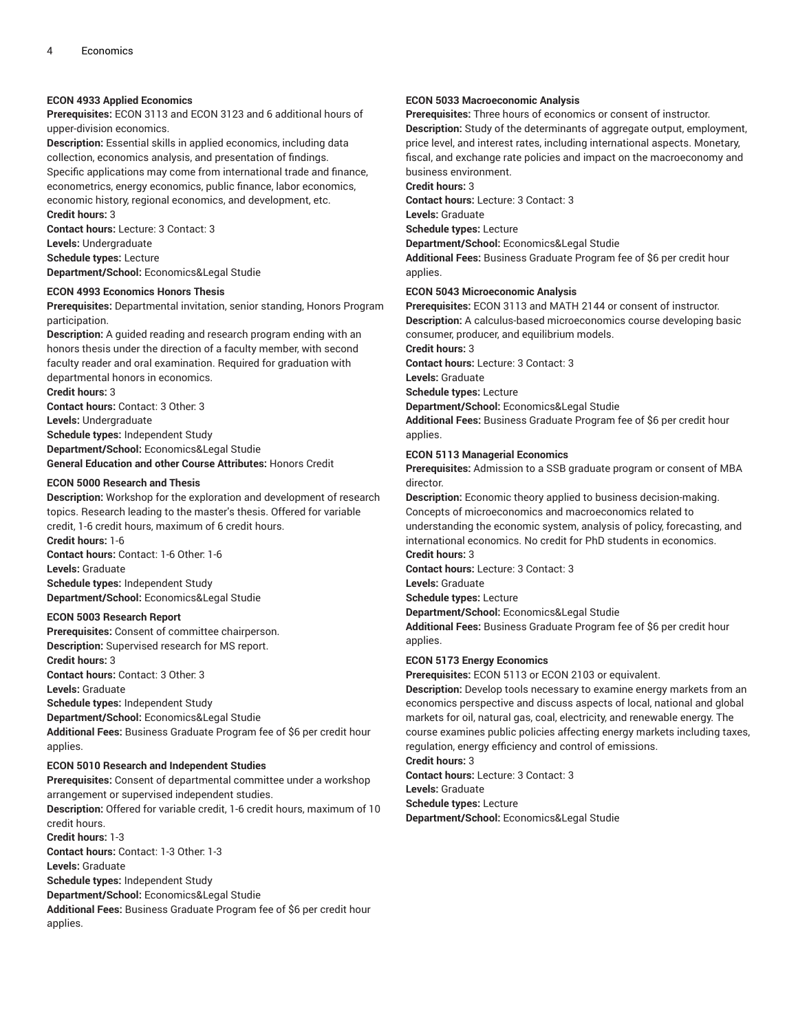## **ECON 4933 Applied Economics**

**Prerequisites:** ECON 3113 and ECON 3123 and 6 additional hours of upper-division economics.

**Description:** Essential skills in applied economics, including data collection, economics analysis, and presentation of findings. Specific applications may come from international trade and finance, econometrics, energy economics, public finance, labor economics, economic history, regional economics, and development, etc. **Credit hours:** 3

**Contact hours:** Lecture: 3 Contact: 3

**Levels:** Undergraduate

**Schedule types:** Lecture **Department/School:** Economics&Legal Studie

#### **ECON 4993 Economics Honors Thesis**

**Prerequisites:** Departmental invitation, senior standing, Honors Program participation.

**Description:** A guided reading and research program ending with an honors thesis under the direction of a faculty member, with second faculty reader and oral examination. Required for graduation with departmental honors in economics.

**Credit hours:** 3

**Contact hours:** Contact: 3 Other: 3 **Levels:** Undergraduate **Schedule types:** Independent Study **Department/School:** Economics&Legal Studie

**General Education and other Course Attributes:** Honors Credit

## **ECON 5000 Research and Thesis**

**Description:** Workshop for the exploration and development of research topics. Research leading to the master's thesis. Offered for variable credit, 1-6 credit hours, maximum of 6 credit hours.

**Credit hours:** 1-6 **Contact hours:** Contact: 1-6 Other: 1-6 **Levels:** Graduate **Schedule types:** Independent Study **Department/School:** Economics&Legal Studie

#### **ECON 5003 Research Report**

**Prerequisites:** Consent of committee chairperson. **Description:** Supervised research for MS report. **Credit hours:** 3 **Contact hours:** Contact: 3 Other: 3 **Levels:** Graduate **Schedule types:** Independent Study **Department/School:** Economics&Legal Studie **Additional Fees:** Business Graduate Program fee of \$6 per credit hour applies.

#### **ECON 5010 Research and Independent Studies**

**Prerequisites:** Consent of departmental committee under a workshop arrangement or supervised independent studies. **Description:** Offered for variable credit, 1-6 credit hours, maximum of 10

credit hours. **Credit hours:** 1-3 **Contact hours:** Contact: 1-3 Other: 1-3 **Levels:** Graduate **Schedule types:** Independent Study

**Department/School:** Economics&Legal Studie **Additional Fees:** Business Graduate Program fee of \$6 per credit hour

applies.

## **ECON 5033 Macroeconomic Analysis**

**Prerequisites:** Three hours of economics or consent of instructor. **Description:** Study of the determinants of aggregate output, employment, price level, and interest rates, including international aspects. Monetary, fiscal, and exchange rate policies and impact on the macroeconomy and business environment.

**Credit hours:** 3

**Contact hours:** Lecture: 3 Contact: 3

**Levels:** Graduate

**Schedule types:** Lecture

**Department/School:** Economics&Legal Studie

**Additional Fees:** Business Graduate Program fee of \$6 per credit hour applies.

## **ECON 5043 Microeconomic Analysis**

**Prerequisites:** ECON 3113 and MATH 2144 or consent of instructor. **Description:** A calculus-based microeconomics course developing basic consumer, producer, and equilibrium models.

**Credit hours:** 3

**Contact hours:** Lecture: 3 Contact: 3

**Levels:** Graduate

**Schedule types:** Lecture

**Department/School:** Economics&Legal Studie

**Additional Fees:** Business Graduate Program fee of \$6 per credit hour applies.

## **ECON 5113 Managerial Economics**

**Prerequisites:** Admission to a SSB graduate program or consent of MBA director.

**Description:** Economic theory applied to business decision-making. Concepts of microeconomics and macroeconomics related to understanding the economic system, analysis of policy, forecasting, and international economics. No credit for PhD students in economics.

**Credit hours:** 3

**Contact hours:** Lecture: 3 Contact: 3

**Levels:** Graduate

**Schedule types:** Lecture

**Department/School:** Economics&Legal Studie

**Additional Fees:** Business Graduate Program fee of \$6 per credit hour applies.

#### **ECON 5173 Energy Economics**

**Prerequisites:** ECON 5113 or ECON 2103 or equivalent.

**Description:** Develop tools necessary to examine energy markets from an economics perspective and discuss aspects of local, national and global markets for oil, natural gas, coal, electricity, and renewable energy. The course examines public policies affecting energy markets including taxes, regulation, energy efficiency and control of emissions.

**Credit hours:** 3

**Contact hours:** Lecture: 3 Contact: 3 **Levels:** Graduate **Schedule types:** Lecture **Department/School:** Economics&Legal Studie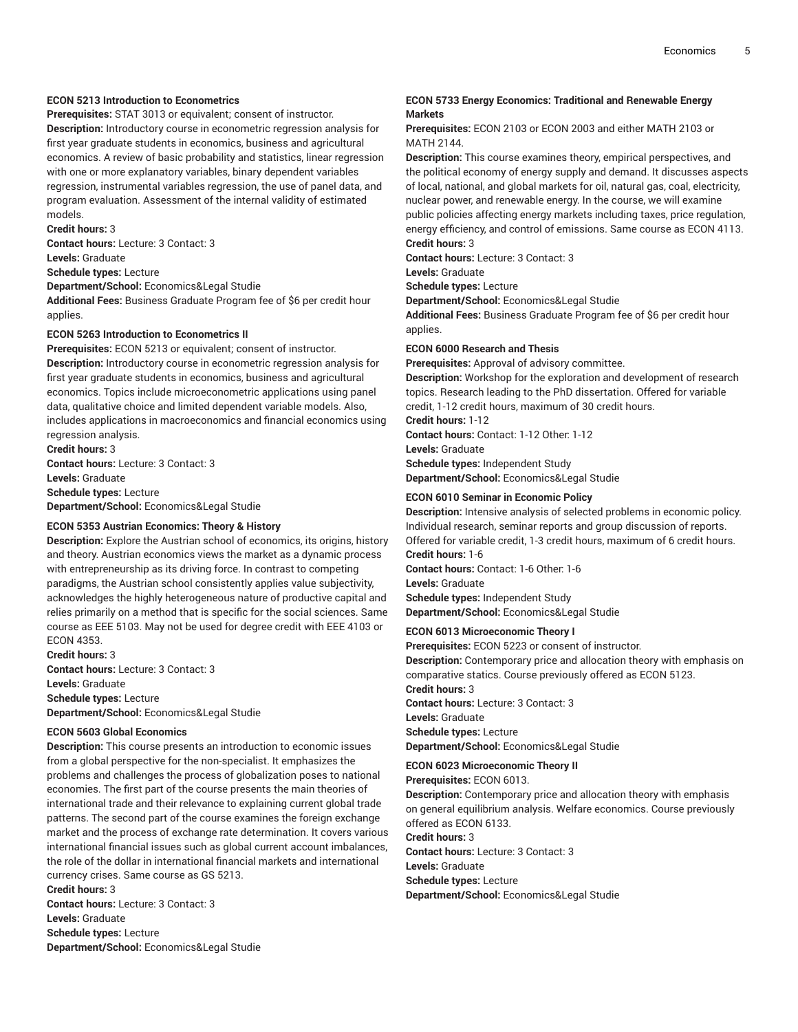## **ECON 5213 Introduction to Econometrics**

**Prerequisites:** STAT 3013 or equivalent; consent of instructor. **Description:** Introductory course in econometric regression analysis for first year graduate students in economics, business and agricultural economics. A review of basic probability and statistics, linear regression with one or more explanatory variables, binary dependent variables regression, instrumental variables regression, the use of panel data, and program evaluation. Assessment of the internal validity of estimated models.

**Credit hours:** 3

**Contact hours:** Lecture: 3 Contact: 3

**Levels:** Graduate

**Schedule types:** Lecture

**Department/School:** Economics&Legal Studie

**Additional Fees:** Business Graduate Program fee of \$6 per credit hour applies.

## **ECON 5263 Introduction to Econometrics II**

**Prerequisites:** ECON 5213 or equivalent; consent of instructor. **Description:** Introductory course in econometric regression analysis for first year graduate students in economics, business and agricultural economics. Topics include microeconometric applications using panel data, qualitative choice and limited dependent variable models. Also, includes applications in macroeconomics and financial economics using regression analysis.

**Credit hours:** 3 **Contact hours:** Lecture: 3 Contact: 3 **Levels:** Graduate **Schedule types:** Lecture **Department/School:** Economics&Legal Studie

#### **ECON 5353 Austrian Economics: Theory & History**

**Description:** Explore the Austrian school of economics, its origins, history and theory. Austrian economics views the market as a dynamic process with entrepreneurship as its driving force. In contrast to competing paradigms, the Austrian school consistently applies value subjectivity, acknowledges the highly heterogeneous nature of productive capital and relies primarily on a method that is specific for the social sciences. Same course as EEE 5103. May not be used for degree credit with EEE 4103 or ECON 4353.

**Credit hours:** 3 **Contact hours:** Lecture: 3 Contact: 3 **Levels:** Graduate **Schedule types:** Lecture **Department/School:** Economics&Legal Studie

#### **ECON 5603 Global Economics**

**Description:** This course presents an introduction to economic issues from a global perspective for the non-specialist. It emphasizes the problems and challenges the process of globalization poses to national economies. The first part of the course presents the main theories of international trade and their relevance to explaining current global trade patterns. The second part of the course examines the foreign exchange market and the process of exchange rate determination. It covers various international financial issues such as global current account imbalances, the role of the dollar in international financial markets and international currency crises. Same course as GS 5213.

**Credit hours:** 3 **Contact hours:** Lecture: 3 Contact: 3 **Levels:** Graduate **Schedule types:** Lecture **Department/School:** Economics&Legal Studie

## **ECON 5733 Energy Economics: Traditional and Renewable Energy Markets**

**Prerequisites:** ECON 2103 or ECON 2003 and either MATH 2103 or **MATH 2144** 

**Description:** This course examines theory, empirical perspectives, and the political economy of energy supply and demand. It discusses aspects of local, national, and global markets for oil, natural gas, coal, electricity, nuclear power, and renewable energy. In the course, we will examine public policies affecting energy markets including taxes, price regulation, energy efficiency, and control of emissions. Same course as ECON 4113.

**Credit hours:** 3

**Contact hours:** Lecture: 3 Contact: 3

**Levels:** Graduate

**Schedule types:** Lecture

**Department/School:** Economics&Legal Studie **Additional Fees:** Business Graduate Program fee of \$6 per credit hour

applies.

## **ECON 6000 Research and Thesis**

**Prerequisites:** Approval of advisory committee. **Description:** Workshop for the exploration and development of research topics. Research leading to the PhD dissertation. Offered for variable credit, 1-12 credit hours, maximum of 30 credit hours.

**Credit hours:** 1-12

**Contact hours:** Contact: 1-12 Other: 1-12

**Levels:** Graduate

**Schedule types:** Independent Study

**Department/School:** Economics&Legal Studie

## **ECON 6010 Seminar in Economic Policy**

**Description:** Intensive analysis of selected problems in economic policy. Individual research, seminar reports and group discussion of reports. Offered for variable credit, 1-3 credit hours, maximum of 6 credit hours. **Credit hours:** 1-6 **Contact hours:** Contact: 1-6 Other: 1-6 **Levels:** Graduate

**Schedule types:** Independent Study **Department/School:** Economics&Legal Studie

## **ECON 6013 Microeconomic Theory I**

**Prerequisites:** ECON 5223 or consent of instructor. **Description:** Contemporary price and allocation theory with emphasis on comparative statics. Course previously offered as ECON 5123. **Credit hours:** 3 **Contact hours:** Lecture: 3 Contact: 3 **Levels:** Graduate

**Schedule types:** Lecture **Department/School:** Economics&Legal Studie

## **ECON 6023 Microeconomic Theory II**

**Prerequisites:** ECON 6013.

**Description:** Contemporary price and allocation theory with emphasis on general equilibrium analysis. Welfare economics. Course previously offered as ECON 6133.

**Credit hours:** 3

**Contact hours:** Lecture: 3 Contact: 3 **Levels:** Graduate **Schedule types:** Lecture **Department/School:** Economics&Legal Studie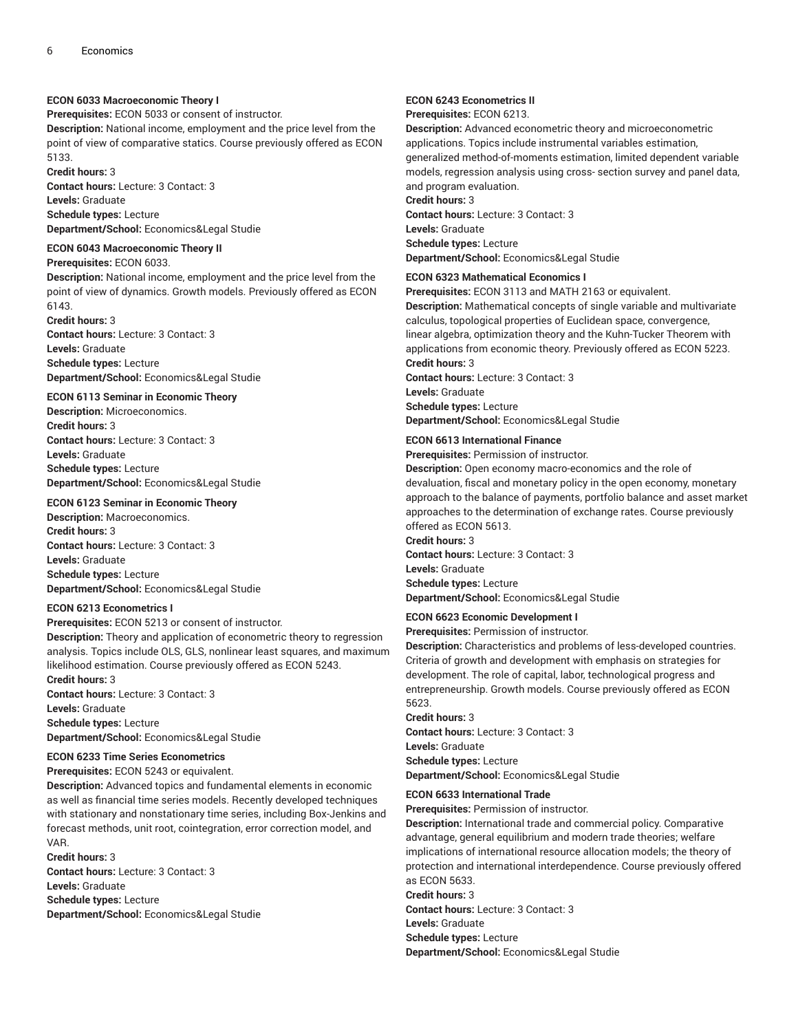## **ECON 6033 Macroeconomic Theory I**

**Prerequisites:** ECON 5033 or consent of instructor.

**Description:** National income, employment and the price level from the point of view of comparative statics. Course previously offered as ECON 5133.

**Credit hours:** 3 **Contact hours:** Lecture: 3 Contact: 3 **Levels:** Graduate **Schedule types:** Lecture **Department/School:** Economics&Legal Studie

## **ECON 6043 Macroeconomic Theory II**

**Prerequisites:** ECON 6033.

**Description:** National income, employment and the price level from the point of view of dynamics. Growth models. Previously offered as ECON 6143.

**Credit hours:** 3 **Contact hours:** Lecture: 3 Contact: 3 **Levels:** Graduate **Schedule types:** Lecture **Department/School:** Economics&Legal Studie

## **ECON 6113 Seminar in Economic Theory**

**Description:** Microeconomics. **Credit hours:** 3 **Contact hours:** Lecture: 3 Contact: 3 **Levels:** Graduate **Schedule types:** Lecture **Department/School:** Economics&Legal Studie

## **ECON 6123 Seminar in Economic Theory**

**Description:** Macroeconomics. **Credit hours:** 3 **Contact hours:** Lecture: 3 Contact: 3 **Levels:** Graduate **Schedule types:** Lecture **Department/School:** Economics&Legal Studie

#### **ECON 6213 Econometrics I**

**Prerequisites:** ECON 5213 or consent of instructor. **Description:** Theory and application of econometric theory to regression analysis. Topics include OLS, GLS, nonlinear least squares, and maximum likelihood estimation. Course previously offered as ECON 5243. **Credit hours:** 3

**Contact hours:** Lecture: 3 Contact: 3 **Levels:** Graduate **Schedule types:** Lecture

**Department/School:** Economics&Legal Studie

## **ECON 6233 Time Series Econometrics**

**Prerequisites:** ECON 5243 or equivalent.

**Description:** Advanced topics and fundamental elements in economic as well as financial time series models. Recently developed techniques with stationary and nonstationary time series, including Box-Jenkins and forecast methods, unit root, cointegration, error correction model, and VAR.

**Credit hours:** 3

**Contact hours:** Lecture: 3 Contact: 3 **Levels:** Graduate **Schedule types:** Lecture **Department/School:** Economics&Legal Studie

#### **ECON 6243 Econometrics II**

**Prerequisites:** ECON 6213.

**Description:** Advanced econometric theory and microeconometric applications. Topics include instrumental variables estimation, generalized method-of-moments estimation, limited dependent variable models, regression analysis using cross- section survey and panel data, and program evaluation.

## **Credit hours:** 3

**Contact hours:** Lecture: 3 Contact: 3 **Levels:** Graduate **Schedule types:** Lecture

**Department/School:** Economics&Legal Studie

## **ECON 6323 Mathematical Economics I**

**Prerequisites:** ECON 3113 and MATH 2163 or equivalent. **Description:** Mathematical concepts of single variable and multivariate calculus, topological properties of Euclidean space, convergence, linear algebra, optimization theory and the Kuhn-Tucker Theorem with applications from economic theory. Previously offered as ECON 5223. **Credit hours:** 3 **Contact hours:** Lecture: 3 Contact: 3 **Levels:** Graduate **Schedule types:** Lecture **Department/School:** Economics&Legal Studie

## **ECON 6613 International Finance**

**Prerequisites:** Permission of instructor.

**Description:** Open economy macro-economics and the role of devaluation, fiscal and monetary policy in the open economy, monetary approach to the balance of payments, portfolio balance and asset market approaches to the determination of exchange rates. Course previously offered as ECON 5613.

**Credit hours:** 3 **Contact hours:** Lecture: 3 Contact: 3 **Levels:** Graduate **Schedule types:** Lecture **Department/School:** Economics&Legal Studie

## **ECON 6623 Economic Development I**

**Prerequisites:** Permission of instructor.

**Description:** Characteristics and problems of less-developed countries. Criteria of growth and development with emphasis on strategies for development. The role of capital, labor, technological progress and entrepreneurship. Growth models. Course previously offered as ECON 5623.

## **Credit hours:** 3

**Contact hours:** Lecture: 3 Contact: 3 **Levels:** Graduate **Schedule types:** Lecture **Department/School:** Economics&Legal Studie

#### **ECON 6633 International Trade**

**Prerequisites:** Permission of instructor.

**Description:** International trade and commercial policy. Comparative advantage, general equilibrium and modern trade theories; welfare implications of international resource allocation models; the theory of protection and international interdependence. Course previously offered as ECON 5633.

**Credit hours:** 3

**Contact hours:** Lecture: 3 Contact: 3 **Levels:** Graduate

**Schedule types:** Lecture

**Department/School:** Economics&Legal Studie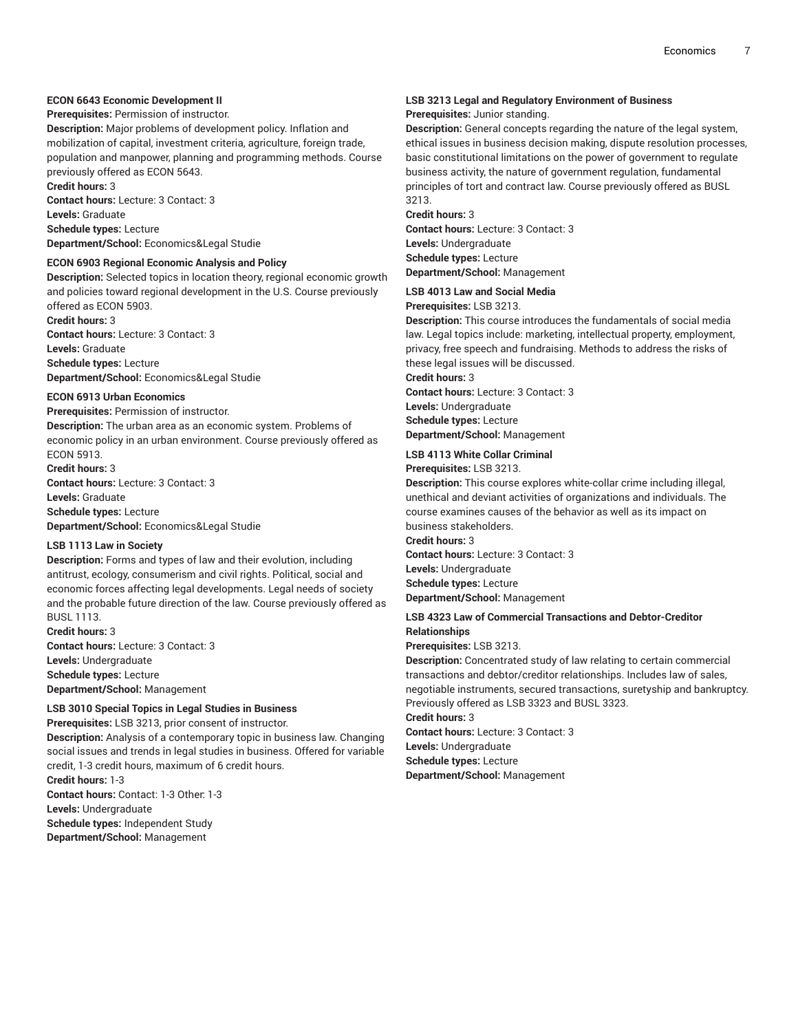## **ECON 6643 Economic Development II**

**Prerequisites:** Permission of instructor.

**Description:** Major problems of development policy. Inflation and mobilization of capital, investment criteria, agriculture, foreign trade, population and manpower, planning and programming methods. Course previously offered as ECON 5643. **Credit hours:** 3

**Contact hours:** Lecture: 3 Contact: 3 **Levels:** Graduate **Schedule types:** Lecture **Department/School:** Economics&Legal Studie

## **ECON 6903 Regional Economic Analysis and Policy**

**Description:** Selected topics in location theory, regional economic growth and policies toward regional development in the U.S. Course previously offered as ECON 5903.

**Credit hours:** 3 **Contact hours:** Lecture: 3 Contact: 3 **Levels:** Graduate **Schedule types:** Lecture

**Department/School:** Economics&Legal Studie

## **ECON 6913 Urban Economics**

**Prerequisites:** Permission of instructor.

**Description:** The urban area as an economic system. Problems of economic policy in an urban environment. Course previously offered as ECON 5913.

#### **Credit hours:** 3

**Contact hours:** Lecture: 3 Contact: 3 **Levels:** Graduate **Schedule types:** Lecture

**Department/School:** Economics&Legal Studie

## **LSB 1113 Law in Society**

**Description:** Forms and types of law and their evolution, including antitrust, ecology, consumerism and civil rights. Political, social and economic forces affecting legal developments. Legal needs of society and the probable future direction of the law. Course previously offered as BUSL 1113.

**Credit hours:** 3 **Contact hours:** Lecture: 3 Contact: 3 **Levels:** Undergraduate **Schedule types:** Lecture **Department/School:** Management

## **LSB 3010 Special Topics in Legal Studies in Business**

**Prerequisites:** LSB 3213, prior consent of instructor. **Description:** Analysis of a contemporary topic in business law. Changing social issues and trends in legal studies in business. Offered for variable credit, 1-3 credit hours, maximum of 6 credit hours. **Credit hours:** 1-3

**Contact hours:** Contact: 1-3 Other: 1-3 **Levels:** Undergraduate **Schedule types:** Independent Study **Department/School:** Management

## **LSB 3213 Legal and Regulatory Environment of Business Prerequisites:** Junior standing.

**Description:** General concepts regarding the nature of the legal system, ethical issues in business decision making, dispute resolution processes, basic constitutional limitations on the power of government to regulate business activity, the nature of government regulation, fundamental principles of tort and contract law. Course previously offered as BUSL 3213.

**Credit hours:** 3

**Contact hours:** Lecture: 3 Contact: 3 **Levels:** Undergraduate **Schedule types:** Lecture **Department/School:** Management

## **LSB 4013 Law and Social Media**

**Prerequisites:** LSB 3213.

**Description:** This course introduces the fundamentals of social media law. Legal topics include: marketing, intellectual property, employment, privacy, free speech and fundraising. Methods to address the risks of these legal issues will be discussed. **Credit hours:** 3

**Contact hours:** Lecture: 3 Contact: 3 **Levels:** Undergraduate

**Schedule types:** Lecture

**Department/School:** Management

## **LSB 4113 White Collar Criminal**

## **Prerequisites:** LSB 3213.

**Description:** This course explores white-collar crime including illegal, unethical and deviant activities of organizations and individuals. The course examines causes of the behavior as well as its impact on business stakeholders.

**Credit hours:** 3 **Contact hours:** Lecture: 3 Contact: 3 **Levels:** Undergraduate **Schedule types:** Lecture **Department/School:** Management

## **LSB 4323 Law of Commercial Transactions and Debtor-Creditor Relationships**

**Prerequisites:** LSB 3213.

**Description:** Concentrated study of law relating to certain commercial transactions and debtor/creditor relationships. Includes law of sales, negotiable instruments, secured transactions, suretyship and bankruptcy. Previously offered as LSB 3323 and BUSL 3323. **Credit hours:** 3

**Contact hours:** Lecture: 3 Contact: 3 **Levels:** Undergraduate **Schedule types:** Lecture

**Department/School:** Management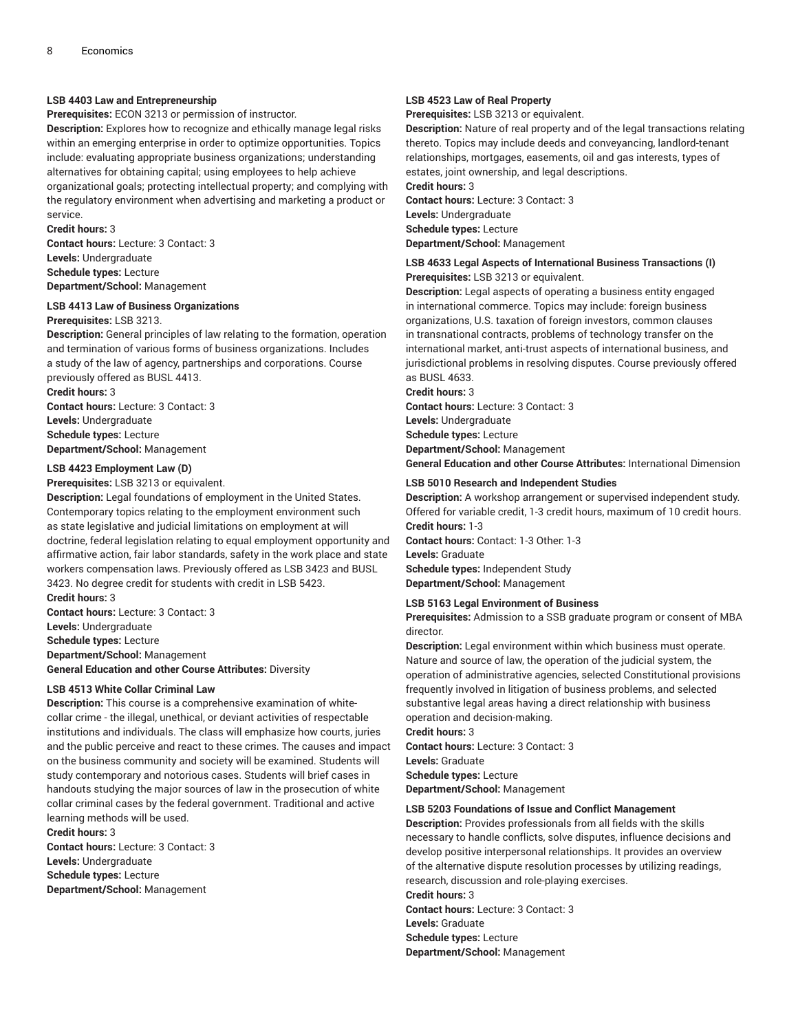## **LSB 4403 Law and Entrepreneurship**

**Prerequisites:** ECON 3213 or permission of instructor.

**Description:** Explores how to recognize and ethically manage legal risks within an emerging enterprise in order to optimize opportunities. Topics include: evaluating appropriate business organizations; understanding alternatives for obtaining capital; using employees to help achieve organizational goals; protecting intellectual property; and complying with the regulatory environment when advertising and marketing a product or service.

**Credit hours:** 3

**Contact hours:** Lecture: 3 Contact: 3 **Levels:** Undergraduate **Schedule types:** Lecture **Department/School:** Management

## **LSB 4413 Law of Business Organizations**

**Prerequisites:** LSB 3213.

**Description:** General principles of law relating to the formation, operation and termination of various forms of business organizations. Includes a study of the law of agency, partnerships and corporations. Course previously offered as BUSL 4413.

**Credit hours:** 3 **Contact hours:** Lecture: 3 Contact: 3 **Levels:** Undergraduate **Schedule types:** Lecture **Department/School:** Management

## **LSB 4423 Employment Law (D)**

**Prerequisites:** LSB 3213 or equivalent.

**Description:** Legal foundations of employment in the United States. Contemporary topics relating to the employment environment such as state legislative and judicial limitations on employment at will doctrine, federal legislation relating to equal employment opportunity and affirmative action, fair labor standards, safety in the work place and state workers compensation laws. Previously offered as LSB 3423 and BUSL 3423. No degree credit for students with credit in LSB 5423.

**Credit hours:** 3

**Contact hours:** Lecture: 3 Contact: 3

**Levels:** Undergraduate

**Schedule types:** Lecture

**Department/School:** Management

**General Education and other Course Attributes:** Diversity

## **LSB 4513 White Collar Criminal Law**

**Description:** This course is a comprehensive examination of whitecollar crime - the illegal, unethical, or deviant activities of respectable institutions and individuals. The class will emphasize how courts, juries and the public perceive and react to these crimes. The causes and impact on the business community and society will be examined. Students will study contemporary and notorious cases. Students will brief cases in handouts studying the major sources of law in the prosecution of white collar criminal cases by the federal government. Traditional and active learning methods will be used.

**Credit hours:** 3 **Contact hours:** Lecture: 3 Contact: 3 **Levels:** Undergraduate **Schedule types:** Lecture **Department/School:** Management

#### **LSB 4523 Law of Real Property**

**Prerequisites:** LSB 3213 or equivalent.

**Description:** Nature of real property and of the legal transactions relating thereto. Topics may include deeds and conveyancing, landlord-tenant relationships, mortgages, easements, oil and gas interests, types of estates, joint ownership, and legal descriptions. **Credit hours:** 3

**Contact hours:** Lecture: 3 Contact: 3 **Levels:** Undergraduate **Schedule types:** Lecture **Department/School:** Management

## **LSB 4633 Legal Aspects of International Business Transactions (I) Prerequisites:** LSB 3213 or equivalent.

**Description:** Legal aspects of operating a business entity engaged in international commerce. Topics may include: foreign business organizations, U.S. taxation of foreign investors, common clauses in transnational contracts, problems of technology transfer on the international market, anti-trust aspects of international business, and jurisdictional problems in resolving disputes. Course previously offered as BUSL 4633.

**Credit hours:** 3

**Contact hours:** Lecture: 3 Contact: 3 **Levels:** Undergraduate **Schedule types:** Lecture **Department/School:** Management **General Education and other Course Attributes:** International Dimension

## **LSB 5010 Research and Independent Studies**

**Description:** A workshop arrangement or supervised independent study. Offered for variable credit, 1-3 credit hours, maximum of 10 credit hours. **Credit hours:** 1-3

**Contact hours:** Contact: 1-3 Other: 1-3 **Levels:** Graduate **Schedule types:** Independent Study **Department/School:** Management

#### **LSB 5163 Legal Environment of Business**

**Prerequisites:** Admission to a SSB graduate program or consent of MBA director.

**Description:** Legal environment within which business must operate. Nature and source of law, the operation of the judicial system, the operation of administrative agencies, selected Constitutional provisions frequently involved in litigation of business problems, and selected substantive legal areas having a direct relationship with business operation and decision-making.

**Credit hours:** 3 **Contact hours:** Lecture: 3 Contact: 3 **Levels:** Graduate **Schedule types:** Lecture **Department/School:** Management

## **LSB 5203 Foundations of Issue and Conflict Management**

**Description:** Provides professionals from all fields with the skills necessary to handle conflicts, solve disputes, influence decisions and develop positive interpersonal relationships. It provides an overview of the alternative dispute resolution processes by utilizing readings, research, discussion and role-playing exercises. **Credit hours:** 3

**Contact hours:** Lecture: 3 Contact: 3 **Levels:** Graduate **Schedule types:** Lecture **Department/School:** Management